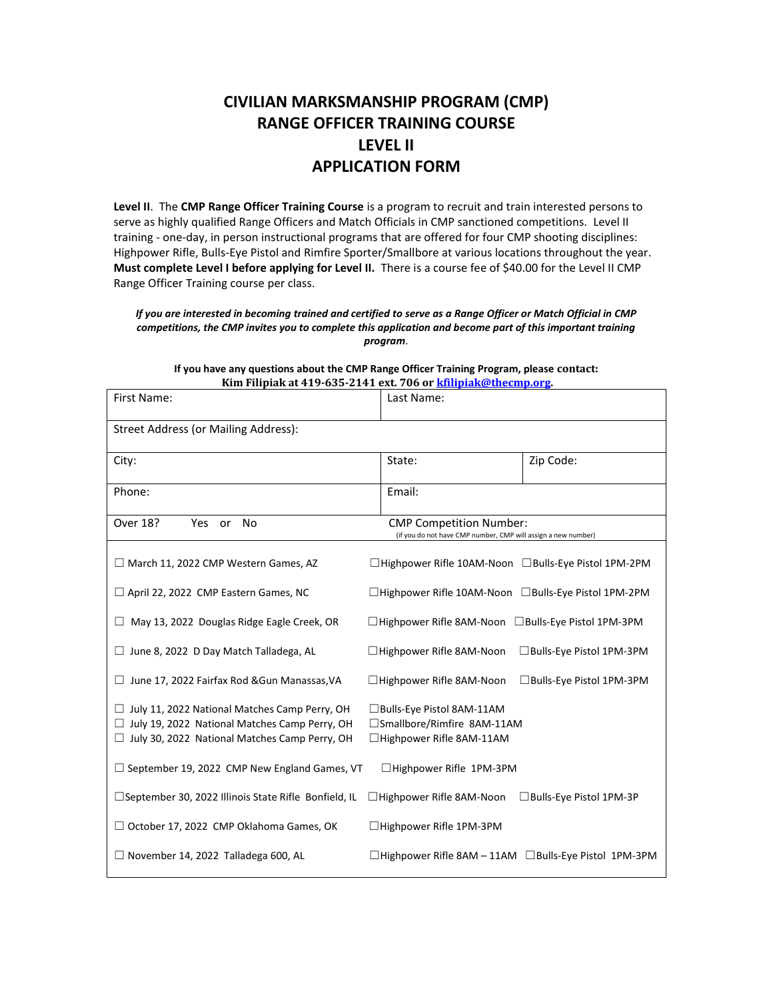## **CIVILIAN MARKSMANSHIP PROGRAM (CMP) RANGE OFFICER TRAINING COURSE LEVEL II APPLICATION FORM**

**Level II**. The **CMP Range Officer Training Course** is a program to recruit and train interested persons to serve as highly qualified Range Officers and Match Officials in CMP sanctioned competitions. Level II training - one-day, in person instructional programs that are offered for four CMP shooting disciplines: Highpower Rifle, Bulls-Eye Pistol and Rimfire Sporter/Smallbore at various locations throughout the year. **Must complete Level I before applying for Level II.** There is a course fee of \$40.00 for the Level II CMP Range Officer Training course per class.

*If you are interested in becoming trained and certified to serve as a Range Officer or Match Official in CMP competitions, the CMP invites you to complete this application and become part of this important training program*.

| First Name:                                                                                                                                              | Last Name:                                                                                      |  |  |  |
|----------------------------------------------------------------------------------------------------------------------------------------------------------|-------------------------------------------------------------------------------------------------|--|--|--|
| Street Address (or Mailing Address):                                                                                                                     |                                                                                                 |  |  |  |
| City:                                                                                                                                                    | Zip Code:<br>State:                                                                             |  |  |  |
| Phone:                                                                                                                                                   | Email:                                                                                          |  |  |  |
| Over 18?<br>Yes or No                                                                                                                                    | <b>CMP Competition Number:</b><br>(if you do not have CMP number, CMP will assign a new number) |  |  |  |
| $\Box$ March 11, 2022 CMP Western Games, AZ                                                                                                              | □Highpower Rifle 10AM-Noon □Bulls-Eye Pistol 1PM-2PM                                            |  |  |  |
| $\Box$ April 22, 2022 CMP Eastern Games, NC                                                                                                              | $\Box$ Highpower Rifle 10AM-Noon $\Box$ Bulls-Eye Pistol 1PM-2PM                                |  |  |  |
| May 13, 2022 Douglas Ridge Eagle Creek, OR                                                                                                               | $\Box$ Highpower Rifle 8AM-Noon $\Box$ Bulls-Eye Pistol 1PM-3PM                                 |  |  |  |
| $\Box$ June 8, 2022 D Day Match Talladega, AL                                                                                                            | $\Box$ Highpower Rifle 8AM-Noon<br>□ Bulls-Eye Pistol 1PM-3PM                                   |  |  |  |
| $\Box$ June 17, 2022 Fairfax Rod & Gun Manassas, VA                                                                                                      | $\Box$ Highpower Rifle 8AM-Noon<br>□Bulls-Eye Pistol 1PM-3PM                                    |  |  |  |
| July 11, 2022 National Matches Camp Perry, OH<br>$\Box$ July 19, 2022 National Matches Camp Perry, OH<br>□ July 30, 2022 National Matches Camp Perry, OH | □ Bulls-Eye Pistol 8AM-11AM<br>□Smallbore/Rimfire 8AM-11AM<br>□Highpower Rifle 8AM-11AM         |  |  |  |
| $\Box$ September 19, 2022 CMP New England Games, VT                                                                                                      | □Highpower Rifle 1PM-3PM                                                                        |  |  |  |
| $\Box$ September 30, 2022 Illinois State Rifle Bonfield, IL                                                                                              | $\Box$ Highpower Rifle 8AM-Noon<br>$\Box$ Bulls-Eye Pistol 1PM-3P                               |  |  |  |
| $\Box$ October 17, 2022 CMP Oklahoma Games, OK                                                                                                           | $\Box$ Highpower Rifle 1PM-3PM                                                                  |  |  |  |
| $\Box$ November 14, 2022 Talladega 600, AL                                                                                                               | $\Box$ Highpower Rifle 8AM - 11AM $\Box$ Bulls-Eye Pistol 1PM-3PM                               |  |  |  |

**If you have any questions about the CMP Range Officer Training Program, please contact: Kim Filipiak at 419-635-2141 ext. 706 or [kfilipiak@thecmp.org.](mailto:kfilipiak@thecmp.org)**